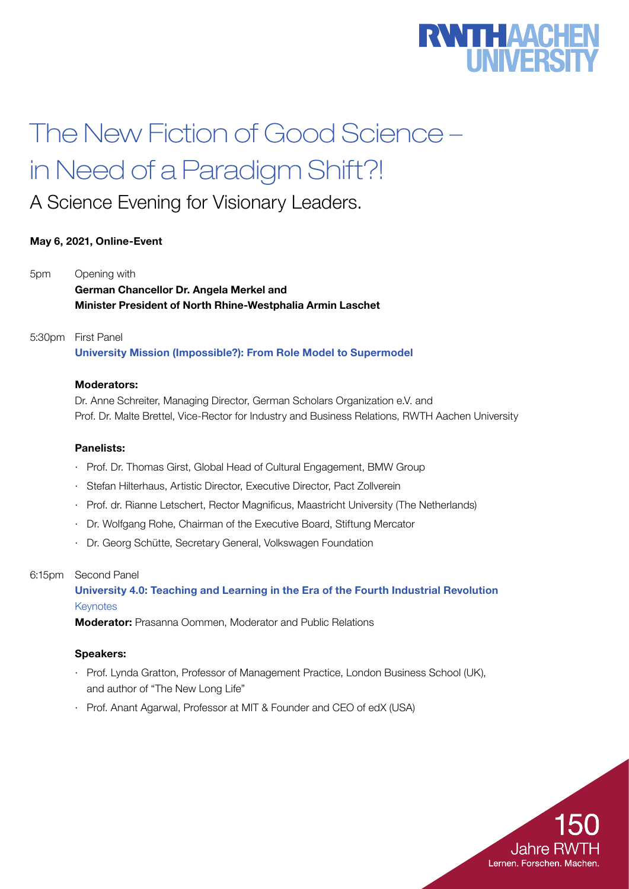# **RWTHAACHERSIT**

# The New Fiction of Good Science – in Need of a Paradigm Shift?!

A Science Evening for Visionary Leaders.

### May 6, 2021, Online-Event

5pm Opening with German Chancellor Dr. Angela Merkel and Minister President of North Rhine-Westphalia Armin Laschet

#### 5:30pm First Panel

University Mission (Impossible?): From Role Model to Supermodel

#### Moderators:

Dr. Anne Schreiter, Managing Director, German Scholars Organization e.V. and Prof. Dr. Malte Brettel, Vice-Rector for Industry and Business Relations, RWTH Aachen University

#### Panelists:

- · Prof. Dr. Thomas Girst, Global Head of Cultural Engagement, BMW Group
- · Stefan Hilterhaus, Artistic Director, Executive Director, Pact Zollverein
- · Prof. dr. Rianne Letschert, Rector Magnificus, Maastricht University (The Netherlands)
- · Dr. Wolfgang Rohe, Chairman of the Executive Board, Stiftung Mercator
- Dr. Georg Schütte, Secretary General, Volkswagen Foundation

#### 6:15pm Second Panel

## University 4.0: Teaching and Learning in the Era of the Fourth Industrial Revolution **Keynotes**

Moderator: Prasanna Oommen, Moderator and Public Relations

#### Speakers:

- · Prof. Lynda Gratton, Professor of Management Practice, London Business School (UK), and author of "The New Long Life"
- · Prof. Anant Agarwal, Professor at MIT & Founder and CEO of edX (USA)